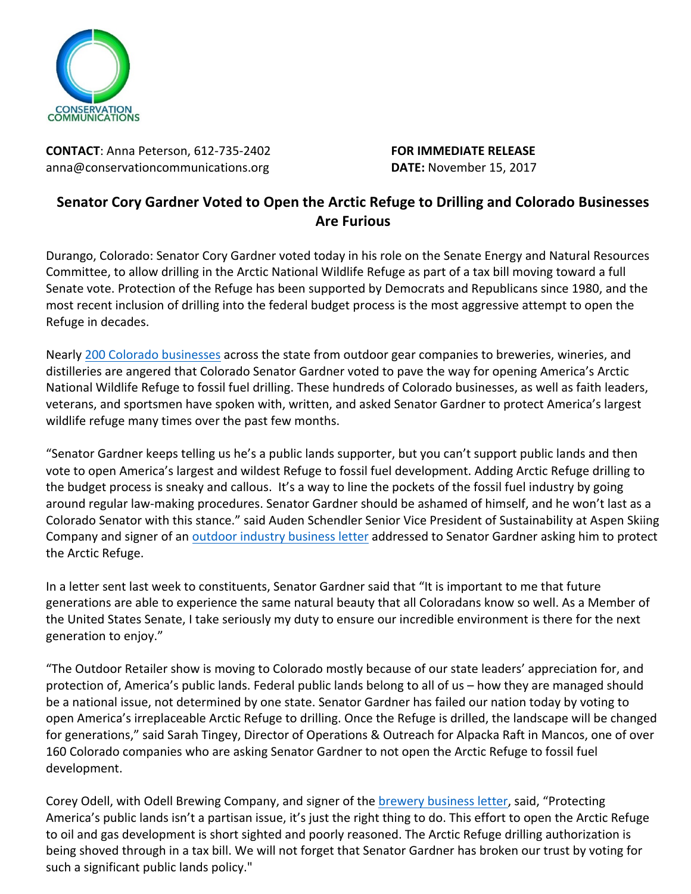

**CONTACT:** Anna Peterson, 612-735-2402 **FOR IMMEDIATE RELEASE** anna@conservationcommunications.org **DATE:** November 15, 2017

## **Senator Cory Gardner Voted to Open the Arctic Refuge to Drilling and Colorado Businesses Are Furious**

Durango, Colorado: Senator Cory Gardner voted today in his role on the Senate Energy and Natural Resources Committee, to allow drilling in the Arctic National Wildlife Refuge as part of a tax bill moving toward a full Senate vote. Protection of the Refuge has been supported by Democrats and Republicans since 1980, and the most recent inclusion of drilling into the federal budget process is the most aggressive attempt to open the Refuge in decades.

Nearly 200 Colorado businesses across the state from outdoor gear companies to breweries, wineries, and distilleries are angered that Colorado Senator Gardner voted to pave the way for opening America's Arctic National Wildlife Refuge to fossil fuel drilling. These hundreds of Colorado businesses, as well as faith leaders, veterans, and sportsmen have spoken with, written, and asked Senator Gardner to protect America's largest wildlife refuge many times over the past few months.

"Senator Gardner keeps telling us he's a public lands supporter, but you can't support public lands and then vote to open America's largest and wildest Refuge to fossil fuel development. Adding Arctic Refuge drilling to the budget process is sneaky and callous. It's a way to line the pockets of the fossil fuel industry by going around regular law-making procedures. Senator Gardner should be ashamed of himself, and he won't last as a Colorado Senator with this stance." said Auden Schendler Senior Vice President of Sustainability at Aspen Skiing Company and signer of an outdoor industry business letter addressed to Senator Gardner asking him to protect the Arctic Refuge.

In a letter sent last week to constituents, Senator Gardner said that "It is important to me that future generations are able to experience the same natural beauty that all Coloradans know so well. As a Member of the United States Senate, I take seriously my duty to ensure our incredible environment is there for the next generation to enjoy."

"The Outdoor Retailer show is moving to Colorado mostly because of our state leaders' appreciation for, and protection of, America's public lands. Federal public lands belong to all of us – how they are managed should be a national issue, not determined by one state. Senator Gardner has failed our nation today by voting to open America's irreplaceable Arctic Refuge to drilling. Once the Refuge is drilled, the landscape will be changed for generations," said Sarah Tingey, Director of Operations & Outreach for Alpacka Raft in Mancos, one of over 160 Colorado companies who are asking Senator Gardner to not open the Arctic Refuge to fossil fuel development.

Corey Odell, with Odell Brewing Company, and signer of the brewery business letter, said, "Protecting America's public lands isn't a partisan issue, it's just the right thing to do. This effort to open the Arctic Refuge to oil and gas development is short sighted and poorly reasoned. The Arctic Refuge drilling authorization is being shoved through in a tax bill. We will not forget that Senator Gardner has broken our trust by voting for such a significant public lands policy."